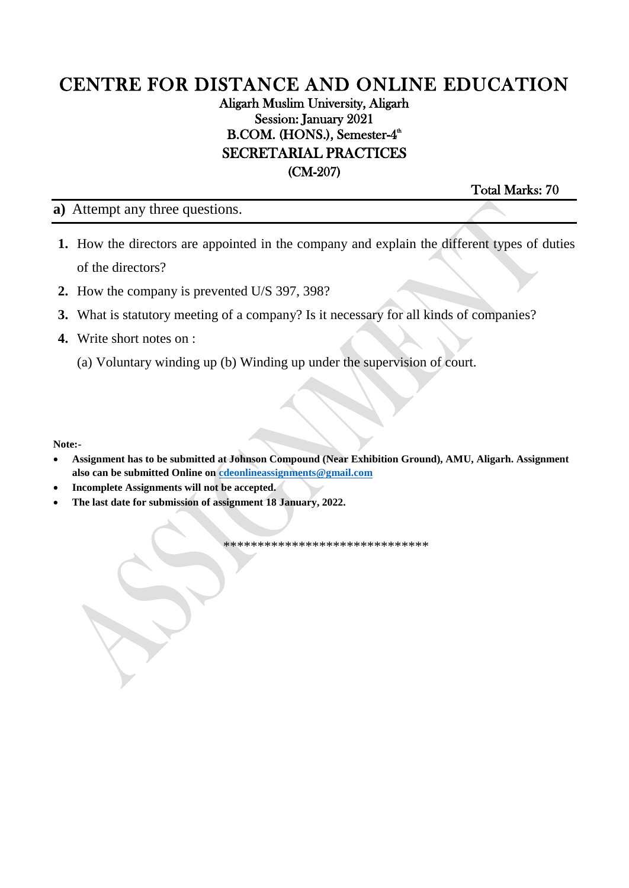### Aligarh Muslim University, Aligarh Session: January 2021 B.COM. (HONS.), Semester-4<sup>th</sup> SECRETARIAL PRACTICES (CM-207)

Total Marks: 70

**a)** Attempt any three questions.

- **1.** How the directors are appointed in the company and explain the different types of duties of the directors?
- **2.** How the company is prevented U/S 397, 398?
- **3.** What is statutory meeting of a company? Is it necessary for all kinds of companies?
- **4.** Write short notes on :
	- (a) Voluntary winding up (b) Winding up under the supervision of court.

**Note:-**

- **Assignment has to be submitted at Johnson Compound (Near Exhibition Ground), AMU, Aligarh. Assignment also can be submitted Online on [cdeonlineassignments@gmail.com](mailto:cdeonlineassignments@gmail.com)**
- **Incomplete Assignments will not be accepted.**
- **The last date for submission of assignment 18 January, 2022.**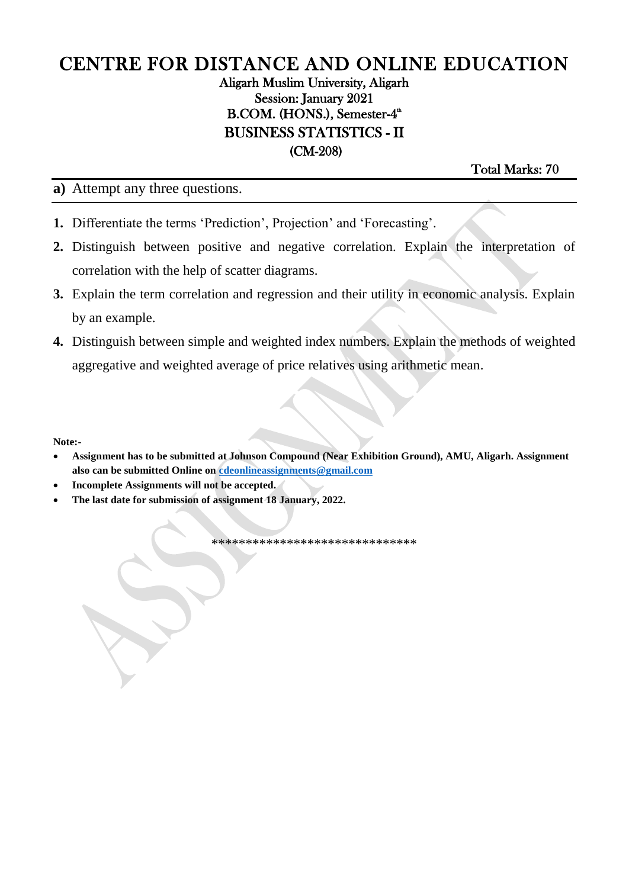### Aligarh Muslim University, Aligarh Session: January 2021 B.COM. (HONS.), Semester-4<sup>th</sup> BUSINESS STATISTICS - II (CM-208)

Total Marks: 70

**a)** Attempt any three questions.

- **1.** Differentiate the terms 'Prediction', Projection' and 'Forecasting'.
- **2.** Distinguish between positive and negative correlation. Explain the interpretation of correlation with the help of scatter diagrams.
- **3.** Explain the term correlation and regression and their utility in economic analysis. Explain by an example.
- **4.** Distinguish between simple and weighted index numbers. Explain the methods of weighted aggregative and weighted average of price relatives using arithmetic mean.

**Note:-**

- **Assignment has to be submitted at Johnson Compound (Near Exhibition Ground), AMU, Aligarh. Assignment also can be submitted Online on [cdeonlineassignments@gmail.com](mailto:cdeonlineassignments@gmail.com)**
- **Incomplete Assignments will not be accepted.**
- **The last date for submission of assignment 18 January, 2022.**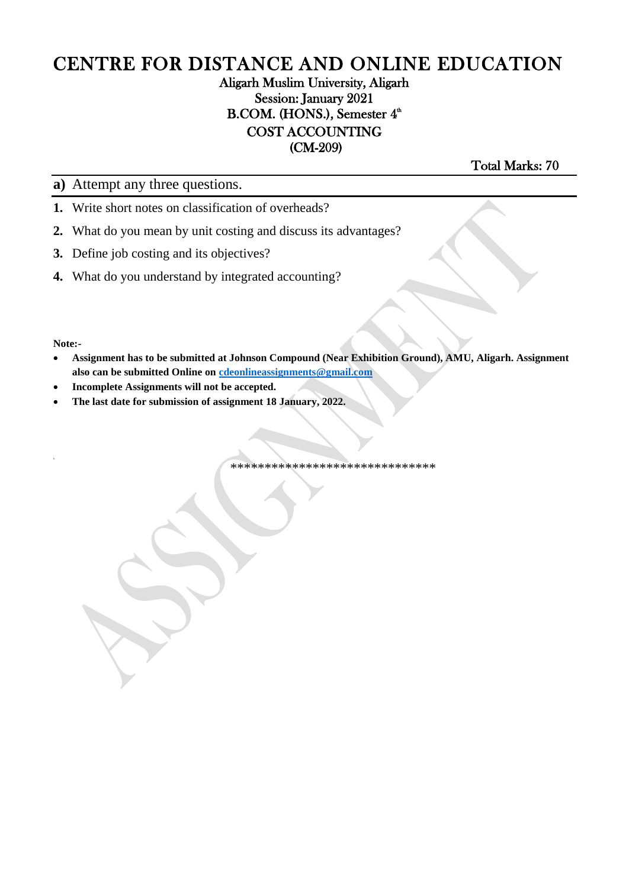### Aligarh Muslim University, Aligarh Session: January 2021 B.COM. (HONS.), Semester  $4^{\text{th}}$ COST ACCOUNTING (CM-209)

Total Marks: 70

**a)** Attempt any three questions.

- **1.** Write short notes on classification of overheads?
- **2.** What do you mean by unit costing and discuss its advantages?
- **3.** Define job costing and its objectives?
- **4.** What do you understand by integrated accounting?

**Note:-**

- **Assignment has to be submitted at Johnson Compound (Near Exhibition Ground), AMU, Aligarh. Assignment also can be submitted Online on [cdeonlineassignments@gmail.com](mailto:cdeonlineassignments@gmail.com)**
- **Incomplete Assignments will not be accepted.**
- **The last date for submission of assignment 18 January, 2022.**

\*\*\*\*\*\*\*\*\*\*\*\*\*\*\*\*\*\*\*\*\*\*\*\*\*\*\*\*\*\*

 $\overline{a}$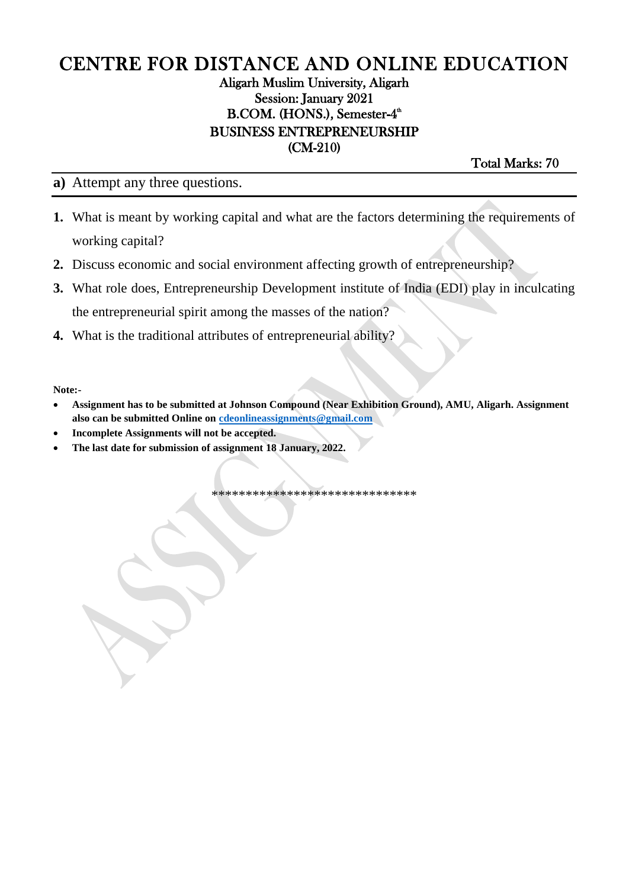### Aligarh Muslim University, Aligarh Session: January 2021 B.COM. (HONS.), Semester-4<sup>th</sup> BUSINESS ENTREPRENEURSHIP (CM-210)

Total Marks: 70

#### **a)** Attempt any three questions.

- **1.** What is meant by working capital and what are the factors determining the requirements of working capital?
- **2.** Discuss economic and social environment affecting growth of entrepreneurship?
- **3.** What role does, Entrepreneurship Development institute of India (EDI) play in inculcating the entrepreneurial spirit among the masses of the nation?
- **4.** What is the traditional attributes of entrepreneurial ability?

**Note:-**

- **Assignment has to be submitted at Johnson Compound (Near Exhibition Ground), AMU, Aligarh. Assignment also can be submitted Online on [cdeonlineassignments@gmail.com](mailto:cdeonlineassignments@gmail.com)**
- **Incomplete Assignments will not be accepted.**
- **The last date for submission of assignment 18 January, 2022.**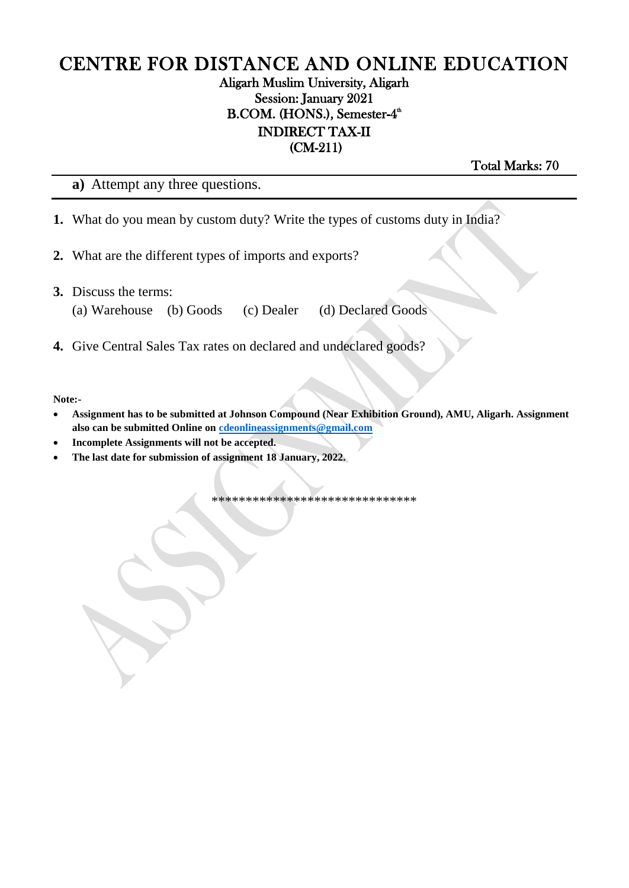#### Aligarh Muslim University, Aligarh Session: January 2021 B.COM. (HONS.), Semester-4<sup>th</sup> INDIRECT TAX-II (CM-211)

Total Marks: 70

**a)** Attempt any three questions.

- **1.** What do you mean by custom duty? Write the types of customs duty in India?
- **2.** What are the different types of imports and exports?
- **3.** Discuss the terms:
	- (a) Warehouse (b) Goods (c) Dealer (d) Declared Goods

**4.** Give Central Sales Tax rates on declared and undeclared goods?

**Note:-**

- **Assignment has to be submitted at Johnson Compound (Near Exhibition Ground), AMU, Aligarh. Assignment also can be submitted Online on [cdeonlineassignments@gmail.com](mailto:cdeonlineassignments@gmail.com)**
- **Incomplete Assignments will not be accepted.**
- **The last date for submission of assignment 18 January, 2022.**